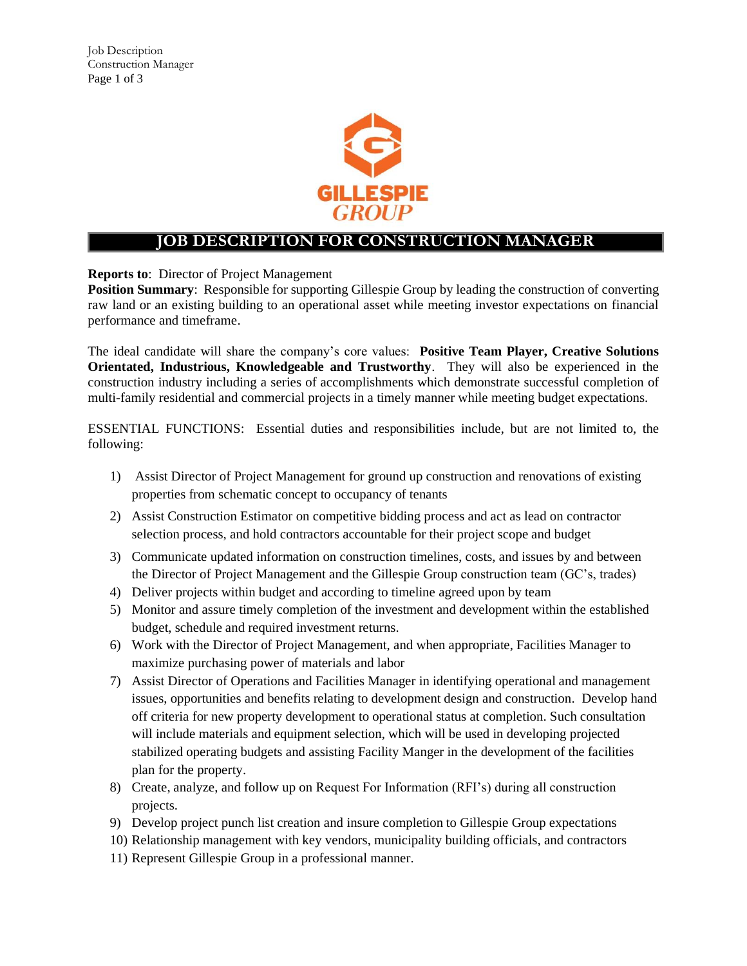

## **JOB DESCRIPTION FOR CONSTRUCTION MANAGER**

**Reports to**: Director of Project Management

**Position Summary**: Responsible for supporting Gillespie Group by leading the construction of converting raw land or an existing building to an operational asset while meeting investor expectations on financial performance and timeframe.

The ideal candidate will share the company's core values: **Positive Team Player, Creative Solutions Orientated, Industrious, Knowledgeable and Trustworthy**. They will also be experienced in the construction industry including a series of accomplishments which demonstrate successful completion of multi-family residential and commercial projects in a timely manner while meeting budget expectations.

ESSENTIAL FUNCTIONS: Essential duties and responsibilities include, but are not limited to, the following:

- 1) Assist Director of Project Management for ground up construction and renovations of existing properties from schematic concept to occupancy of tenants
- 2) Assist Construction Estimator on competitive bidding process and act as lead on contractor selection process, and hold contractors accountable for their project scope and budget
- 3) Communicate updated information on construction timelines, costs, and issues by and between the Director of Project Management and the Gillespie Group construction team (GC's, trades)
- 4) Deliver projects within budget and according to timeline agreed upon by team
- 5) Monitor and assure timely completion of the investment and development within the established budget, schedule and required investment returns.
- 6) Work with the Director of Project Management, and when appropriate, Facilities Manager to maximize purchasing power of materials and labor
- 7) Assist Director of Operations and Facilities Manager in identifying operational and management issues, opportunities and benefits relating to development design and construction. Develop hand off criteria for new property development to operational status at completion. Such consultation will include materials and equipment selection, which will be used in developing projected stabilized operating budgets and assisting Facility Manger in the development of the facilities plan for the property.
- 8) Create, analyze, and follow up on Request For Information (RFI's) during all construction projects.
- 9) Develop project punch list creation and insure completion to Gillespie Group expectations
- 10) Relationship management with key vendors, municipality building officials, and contractors
- 11) Represent Gillespie Group in a professional manner.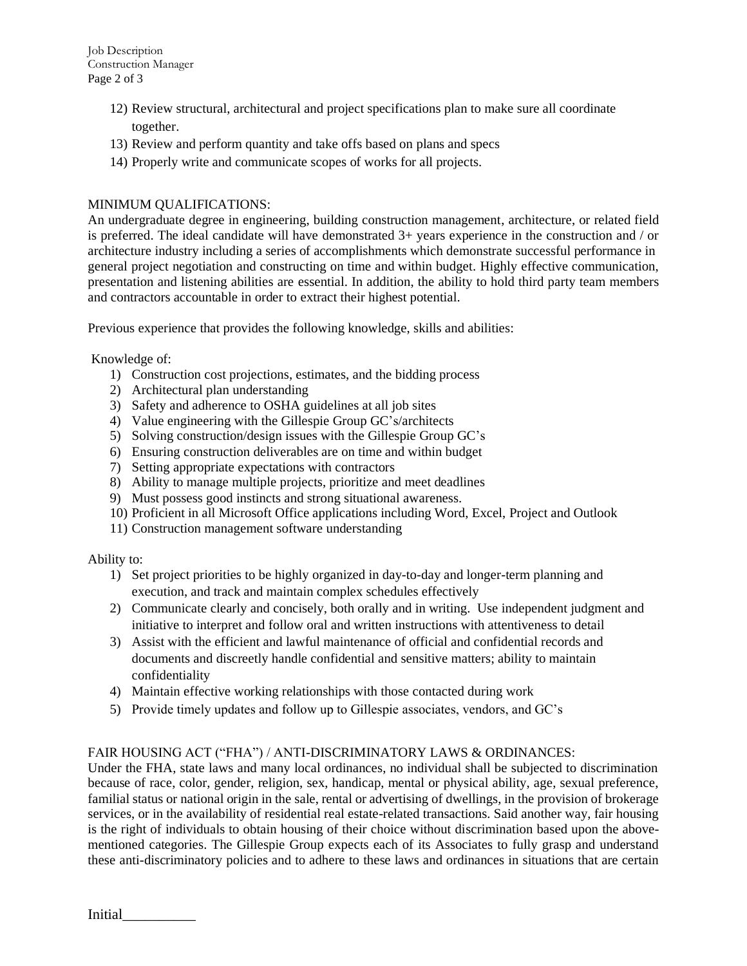- 12) Review structural, architectural and project specifications plan to make sure all coordinate together.
- 13) Review and perform quantity and take offs based on plans and specs
- 14) Properly write and communicate scopes of works for all projects.

## MINIMUM QUALIFICATIONS:

An undergraduate degree in engineering, building construction management, architecture, or related field is preferred. The ideal candidate will have demonstrated 3+ years experience in the construction and / or architecture industry including a series of accomplishments which demonstrate successful performance in general project negotiation and constructing on time and within budget. Highly effective communication, presentation and listening abilities are essential. In addition, the ability to hold third party team members and contractors accountable in order to extract their highest potential.

Previous experience that provides the following knowledge, skills and abilities:

Knowledge of:

- 1) Construction cost projections, estimates, and the bidding process
- 2) Architectural plan understanding
- 3) Safety and adherence to OSHA guidelines at all job sites
- 4) Value engineering with the Gillespie Group GC's/architects
- 5) Solving construction/design issues with the Gillespie Group GC's
- 6) Ensuring construction deliverables are on time and within budget
- 7) Setting appropriate expectations with contractors
- 8) Ability to manage multiple projects, prioritize and meet deadlines
- 9) Must possess good instincts and strong situational awareness.
- 10) Proficient in all Microsoft Office applications including Word, Excel, Project and Outlook
- 11) Construction management software understanding

Ability to:

- 1) Set project priorities to be highly organized in day-to-day and longer-term planning and execution, and track and maintain complex schedules effectively
- 2) Communicate clearly and concisely, both orally and in writing. Use independent judgment and initiative to interpret and follow oral and written instructions with attentiveness to detail
- 3) Assist with the efficient and lawful maintenance of official and confidential records and documents and discreetly handle confidential and sensitive matters; ability to maintain confidentiality
- 4) Maintain effective working relationships with those contacted during work
- 5) Provide timely updates and follow up to Gillespie associates, vendors, and GC's

## FAIR HOUSING ACT ("FHA") / ANTI-DISCRIMINATORY LAWS & ORDINANCES:

Under the FHA, state laws and many local ordinances, no individual shall be subjected to discrimination because of race, color, gender, religion, sex, handicap, mental or physical ability, age, sexual preference, familial status or national origin in the sale, rental or advertising of dwellings, in the provision of brokerage services, or in the availability of residential real estate-related transactions. Said another way, fair housing is the right of individuals to obtain housing of their choice without discrimination based upon the abovementioned categories. The Gillespie Group expects each of its Associates to fully grasp and understand these anti-discriminatory policies and to adhere to these laws and ordinances in situations that are certain

Initial\_\_\_\_\_\_\_\_\_\_